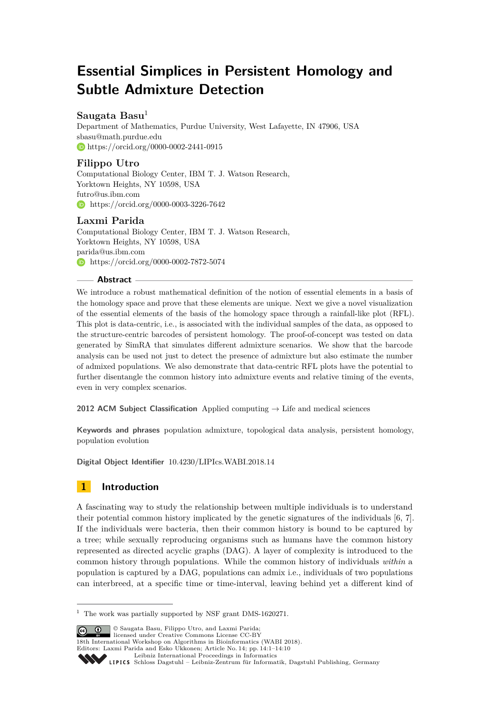# **Essential Simplices in Persistent Homology and Subtle Admixture Detection**

# **Saugata Basu**<sup>1</sup>

Department of Mathematics, Purdue University, West Lafayette, IN 47906, USA [sbasu@math.purdue.edu](mailto:sbasu@math.purdue.edu) <https://orcid.org/0000-0002-2441-0915>

## **Filippo Utro**

Computational Biology Center, IBM T. J. Watson Research, Yorktown Heights, NY 10598, USA [futro@us.ibm.com](mailto:futro@us.ibm.com) **[https://orcid.org/0000-0003-3226-7642]( https://orcid.org/0000-0003-3226-7642)** 

### **Laxmi Parida**

Computational Biology Center, IBM T. J. Watson Research, Yorktown Heights, NY 10598, USA [parida@us.ibm.com](mailto:parida@us.ibm.com) **[https://orcid.org/0000-0002-7872-5074]( https://orcid.org/0000-0002-7872-5074)** 

### **Abstract**

We introduce a robust mathematical definition of the notion of essential elements in a basis of the homology space and prove that these elements are unique. Next we give a novel visualization of the essential elements of the basis of the homology space through a rainfall-like plot (RFL). This plot is data-centric, i.e., is associated with the individual samples of the data, as opposed to the structure-centric barcodes of persistent homology. The proof-of-concept was tested on data generated by SimRA that simulates different admixture scenarios. We show that the barcode analysis can be used not just to detect the presence of admixture but also estimate the number of admixed populations. We also demonstrate that data-centric RFL plots have the potential to further disentangle the common history into admixture events and relative timing of the events, even in very complex scenarios.

**2012 ACM Subject Classification** Applied computing → Life and medical sciences

**Keywords and phrases** population admixture, topological data analysis, persistent homology, population evolution

**Digital Object Identifier** [10.4230/LIPIcs.WABI.2018.14](http://dx.doi.org/10.4230/LIPIcs.WABI.2018.14)

# **1 Introduction**

A fascinating way to study the relationship between multiple individuals is to understand their potential common history implicated by the genetic signatures of the individuals [\[6,](#page-9-0) [7\]](#page-9-1). If the individuals were bacteria, then their common history is bound to be captured by a tree; while sexually reproducing organisms such as humans have the common history represented as directed acyclic graphs (DAG). A layer of complexity is introduced to the common history through populations. While the common history of individuals *within* a population is captured by a DAG, populations can admix i.e., individuals of two populations can interbreed, at a specific time or time-interval, leaving behind yet a different kind of

© Saugata Basu, Filippo Utro, and Laxmi Parida; licensed under Creative Commons License CC-BY

18th International Workshop on Algorithms in Bioinformatics (WABI 2018). Editors: Laxmi Parida and Esko Ukkonen; Article No. 14; pp. 14:1–14[:10](#page-9-2)

 $1$  The work was partially supported by NSF grant DMS-1620271.

[Leibniz International Proceedings in Informatics](http://www.dagstuhl.de/lipics/)

Leibniz international riveredings in miximetrix<br>
LIPICS [Schloss Dagstuhl – Leibniz-Zentrum für Informatik, Dagstuhl Publishing, Germany](http://www.dagstuhl.de)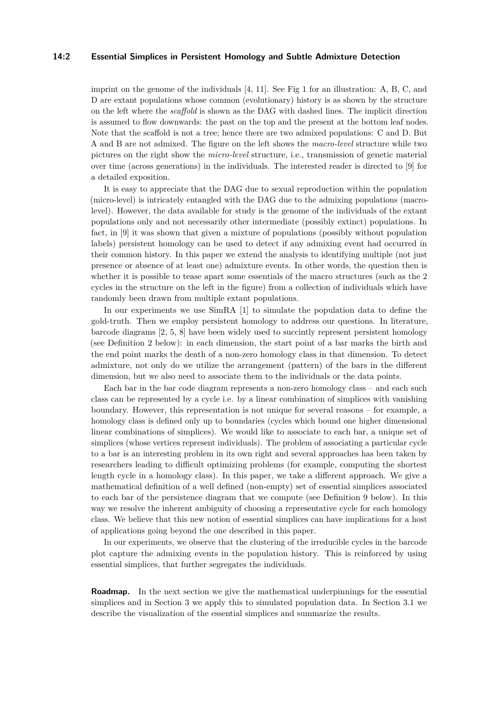#### **14:2 Essential Simplices in Persistent Homology and Subtle Admixture Detection**

imprint on the genome of the individuals [\[4,](#page-9-3) [11\]](#page-9-4). See Fig [1](#page-2-0) for an illustration: A, B, C, and D are extant populations whose common (evolutionary) history is as shown by the structure on the left where the *scaffold* is shown as the DAG with dashed lines. The implicit direction is assumed to flow downwards: the past on the top and the present at the bottom leaf nodes. Note that the scaffold is not a tree; hence there are two admixed populations: C and D. But A and B are not admixed. The figure on the left shows the *macro-level* structure while two pictures on the right show the *micro-level* structure, i.e., transmission of genetic material over time (across generations) in the individuals. The interested reader is directed to [\[9\]](#page-9-5) for a detailed exposition.

It is easy to appreciate that the DAG due to sexual reproduction within the population (micro-level) is intricately entangled with the DAG due to the admixing populations (macrolevel). However, the data available for study is the genome of the individuals of the extant populations only and not necessarily other intermediate (possibly extinct) populations. In fact, in [\[9\]](#page-9-5) it was shown that given a mixture of populations (possibly without population labels) persistent homology can be used to detect if any admixing event had occurred in their common history. In this paper we extend the analysis to identifying multiple (not just presence or absence of at least one) admixture events. In other words, the question then is whether it is possible to tease apart some essentials of the macro structures (such as the 2 cycles in the structure on the left in the figure) from a collection of individuals which have randomly been drawn from multiple extant populations.

In our experiments we use SimRA [\[1\]](#page-9-6) to simulate the population data to define the gold-truth. Then we employ persistent homology to address our questions. In literature, barcode diagrams [\[2,](#page-9-7) [5,](#page-9-8) [8\]](#page-9-9) have been widely used to succintly represent persistent homology (see Definition [2](#page-3-0) below): in each dimension, the start point of a bar marks the birth and the end point marks the death of a non-zero homology class in that dimension. To detect admixture, not only do we utilize the arrangement (pattern) of the bars in the different dimension, but we also need to associate them to the individuals or the data points.

Each bar in the bar code diagram represents a non-zero homology class – and each such class can be represented by a cycle i.e. by a linear combination of simplices with vanishing boundary. However, this representation is not unique for several reasons – for example, a homology class is defined only up to boundaries (cycles which bound one higher dimensional linear combinations of simplices). We would like to associate to each bar, a unique set of simplices (whose vertices represent individuals). The problem of associating a particular cycle to a bar is an interesting problem in its own right and several approaches has been taken by researchers leading to difficult optimizing problems (for example, computing the shortest length cycle in a homology class). In this paper, we take a different approach. We give a mathematical definition of a well defined (non-empty) set of essential simplices associated to each bar of the persistence diagram that we compute (see Definition [9](#page-4-0) below). In this way we resolve the inherent ambiguity of choosing a representative cycle for each homology class. We believe that this new notion of essential simplices can have implications for a host of applications going beyond the one described in this paper.

In our experiments, we observe that the clustering of the irreducible cycles in the barcode plot capture the admixing events in the population history. This is reinforced by using essential simplices, that further segregates the individuals.

**Roadmap.** In the next section we give the mathematical underpinnings for the essential simplices and in Section [3](#page-6-0) we apply this to simulated population data. In Section [3.1](#page-7-0) we describe the visualization of the essential simplices and summarize the results.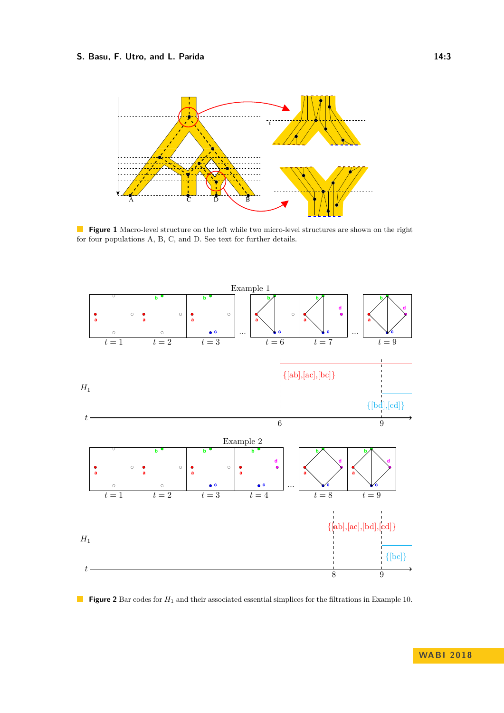### **S. Basu, F. Utro, and L. Parida 14:3**

<span id="page-2-0"></span>

**Figure 1** Macro-level structure on the left while two micro-level structures are shown on the right for four populations A, B, C, and D. See text for further details.

<span id="page-2-1"></span>

**Figure 2** Bar codes for  $H_1$  and their associated essential simplices for the filtrations in Example [10.](#page-4-1)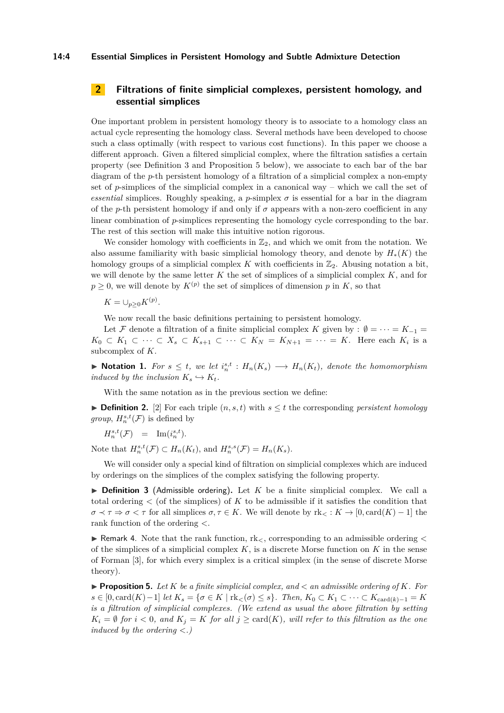#### **14:4 Essential Simplices in Persistent Homology and Subtle Admixture Detection**

# **2 Filtrations of finite simplicial complexes, persistent homology, and essential simplices**

One important problem in persistent homology theory is to associate to a homology class an actual cycle representing the homology class. Several methods have been developed to choose such a class optimally (with respect to various cost functions). In this paper we choose a different approach. Given a filtered simplicial complex, where the filtration satisfies a certain property (see Definition [3](#page-3-1) and Proposition [5](#page-3-2) below), we associate to each bar of the bar diagram of the *p*-th persistent homology of a filtration of a simplicial complex a non-empty set of *p*-simplices of the simplicial complex in a canonical way – which we call the set of *essential* simplices. Roughly speaking, a *p*-simplex  $\sigma$  is essential for a bar in the diagram of the *p*-th persistent homology if and only if  $\sigma$  appears with a non-zero coefficient in any linear combination of *p*-simplices representing the homology cycle corresponding to the bar. The rest of this section will make this intuitive notion rigorous.

We consider homology with coefficients in  $\mathbb{Z}_2$ , and which we omit from the notation. We also assume familiarity with basic simplicial homology theory, and denote by *H*∗(*K*) the homology groups of a simplicial complex K with coefficients in  $\mathbb{Z}_2$ . Abusing notation a bit, we will denote by the same letter *K* the set of simplices of a simplicial complex *K*, and for  $p \geq 0$ , we will denote by  $K^{(p)}$  the set of simplices of dimension *p* in *K*, so that

$$
K=\cup_{p\geq 0}K^{(p)}.
$$

We now recall the basic definitions pertaining to persistent homology.

Let F denote a filtration of a finite simplicial complex K given by :  $\emptyset = \cdots = K_{-1}$  $K_0 \subset K_1 \subset \cdots \subset X_s \subset K_{s+1} \subset \cdots \subset K_N = K_{N+1} = \cdots = K$ . Here each  $K_i$  is a subcomplex of *K*.

▶ **Notation 1.** For  $s \leq t$ , we let  $i_n^{s,t}$  :  $H_n(K_s)$  →  $H_n(K_t)$ , denote the homomorphism *induced by the inclusion*  $K_s \hookrightarrow K_t$ *.* 

With the same notation as in the previous section we define:

<span id="page-3-0"></span>▶ **Definition 2.** [\[2\]](#page-9-7) For each triple  $(n, s, t)$  with  $s < t$  the corresponding *persistent homology group*,  $H_n^{s,t}(\mathcal{F})$  is defined by

 $H_n^{s,t}(\mathcal{F}) = \text{Im}(i_n^{s,t}).$ 

Note that  $H_n^{s,t}(\mathcal{F}) \subset H_n(K_t)$ , and  $H_n^{s,s}(\mathcal{F}) = H_n(K_s)$ .

We will consider only a special kind of filtration on simplicial complexes which are induced by orderings on the simplices of the complex satisfying the following property.

<span id="page-3-1"></span> $\triangleright$  **Definition 3** (Admissible ordering). Let K be a finite simplicial complex. We call a total ordering  $\lt$  (of the simplices) of K to be admissible if it satisfies the condition that  $\sigma \prec \tau \Rightarrow \sigma \prec \tau$  for all simplices  $\sigma, \tau \in K$ . We will denote by  $\text{rk}_{\leq} : K \to [0, \text{card}(K) - 1]$  the rank function of the ordering *<*.

<span id="page-3-3"></span>► Remark 4. Note that the rank function, rk<sub><</sub>, corresponding to an admissible ordering < of the simplices of a simplicial complex *K*, is a discrete Morse function on *K* in the sense of Forman [\[3\]](#page-9-10), for which every simplex is a critical simplex (in the sense of discrete Morse theory).

<span id="page-3-2"></span>**• Proposition 5.** Let  $K$  be a finite simplicial complex, and  $\lt$  an admissible ordering of  $K$ *. For s* ∈ [0*,* card(*K*)−1] *let K<sup>s</sup>* = {*σ* ∈ *K* | rk*<*(*σ*) ≤ *s*}*. Then, K*<sup>0</sup> ⊂ *K*<sup>1</sup> ⊂ · · · ⊂ *K*card(*k*)−<sup>1</sup> = *K is a filtration of simplicial complexes. (We extend as usual the above filtration by setting*  $K_i = \emptyset$  *for*  $i < 0$ *, and*  $K_j = K$  *for all*  $j \geq \text{card}(K)$ *, will refer to this filtration as the one induced by the ordering <.)*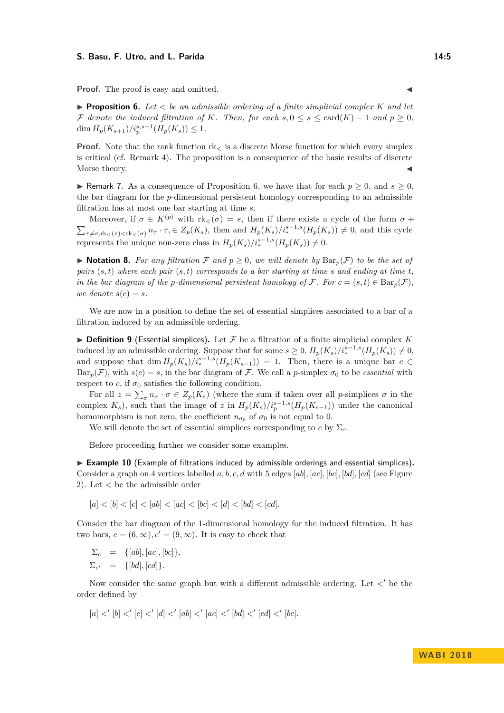#### **S. Basu, F. Utro, and L. Parida 14:5**

**Proof.** The proof is easy and omitted.

<span id="page-4-2"></span>**Proposition 6.** Let  $\lt$  *be an admissible ordering of a finite simplicial complex*  $K$  *and let* F denote the induced filtration of K. Then, for each  $s, 0 \le s \le \text{card}(K) - 1$  and  $p \ge 0$ ,  $\dim H_p(K_{s+1})/i_p^{s,s+1}(H_p(K_s)) \leq 1.$ 

**Proof.** Note that the rank function  $rk<sub>z</sub>$  is a discrete Morse function for which every simplex is critical (cf. Remark [4\)](#page-3-3). The proposition is a consequence of the basic results of discrete Morse theory.

<span id="page-4-3"></span>► Remark 7. As a consequence of Proposition [6,](#page-4-2) we have that for each  $p \geq 0$ , and  $s \geq 0$ , the bar diagram for the *p*-dimensional persistent homology corresponding to an admissible filtration has at most one bar starting at time *s*.

Moreover, if  $\sigma \in K^{(p)}$  with  $\text{rk}_{\leq}(\sigma) = s$ , then if there exists a cycle of the form  $\sigma +$  $\sum_{\tau \neq \sigma, \text{rk}_{\leq}(\tau) < \text{rk}_{\leq}(\sigma)} n_{\tau} \cdot \tau \in Z_p(K_s)$ , then and  $H_p(K_s)/i_*^{s-1,s}(H_p(K_s)) \neq 0$ , and this cycle represents the unique non-zero class in  $H_p(K_s)/i_*^{s-1,s}(H_p(K_s)) \neq 0$ .

▶ **Notation 8.** *For any filtration*  $\mathcal F$  *and*  $p \geq 0$ *, we will denote by*  $Bar_p(\mathcal F)$  *to be the set of pairs*  $(s, t)$  *where each pair*  $(s, t)$  *corresponds to a bar starting at time s and ending at time t, in the bar diagram of the p-dimensional persistent homology of*  $\mathcal{F}$ *. For*  $c = (s, t) \in \text{Bar}_p(\mathcal{F})$ *, we denote*  $s(c) = s$ .

We are now in a position to define the set of essential simplices associated to a bar of a filtration induced by an admissible ordering.

<span id="page-4-0"></span> $\triangleright$  **Definition 9** (Essential simplices). Let F be a filtration of a finite simplicial complex K induced by an admissible ordering. Suppose that for some  $s \geq 0$ ,  $H_p(K_s)/i_*^{s-1,s}(H_p(K_s)) \neq 0$ , and suppose that  $\dim H_p(K_s)/i_*^{s-1,s}(H_p(K_{s-1})) = 1$ . Then, there is a unique bar  $c \in$  $Bar_p(\mathcal{F})$ , with  $s(c) = s$ , in the bar diagram of  $\mathcal{F}$ . We call a *p*-simplex  $\sigma_0$  to be *essential* with respect to *c*, if  $\sigma_0$  satisfies the following condition.

For all  $z = \sum_{\sigma} n_{\sigma} \cdot \sigma \in Z_p(K_s)$  (where the sum if taken over all *p*-simplices  $\sigma$  in the complex  $K_s$ ), such that the image of *z* in  $H_p(K_s)/i_p^{s-1,s}(H_p(K_{s-1}))$  under the canonical homomorphism is not zero, the coefficient  $n_{\sigma_0}$  of  $\sigma_0$  is not equal to 0.

We will denote the set of essential simplices corresponding to  $c$  by  $\Sigma_c$ .

Before proceeding further we consider some examples.

<span id="page-4-1"></span>► **Example 10** (Example of filtrations induced by admissible orderings and essential simplices). Consider a graph on 4 vertices labelled *a, b, c, d* with 5 edges [*ab*]*,* [*ac*]*,* [*bc*]*,* [*bd*]*,* [*cd*] (see Figure [2\)](#page-2-1). Let *<* be the admissible order

$$
[a] < [b] < [c] < [ab] < [ac] < [bc] < [dd] < [bd] < [cd].
$$

Consder the bar diagram of the 1-dimensional homology for the induced filtration. It has two bars,  $c = (6, \infty), c' = (9, \infty)$ . It is easy to check that

$$
\Sigma_c = \{[ab], [ac], [bc]\},
$$
  

$$
\Sigma_{c'} = \{[bd], [cd]\}.
$$

Now consider the same graph but with a different admissible ordering. Let  $\lt'$  be the order defined by

$$
[a]<'[b]<'[c]<'[d]<'[ab]<'[ac]<'[bd]<'[cd]<'[bc].
$$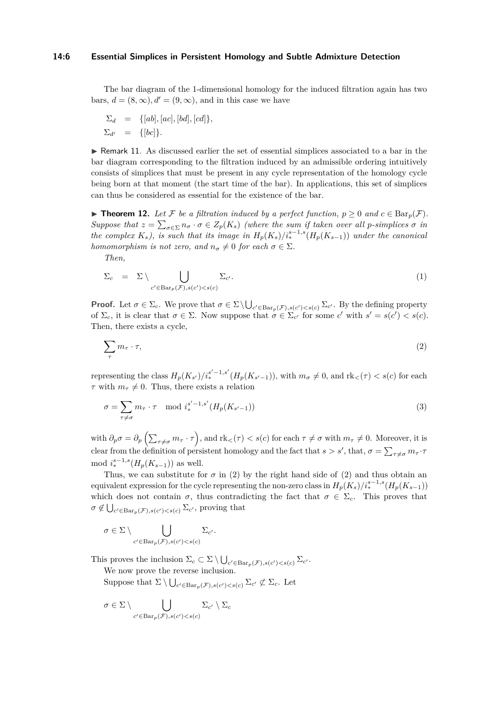#### **14:6 Essential Simplices in Persistent Homology and Subtle Admixture Detection**

The bar diagram of the 1-dimensional homology for the induced filtration again has two bars,  $d = (8, \infty)$ ,  $d' = (9, \infty)$ , and in this case we have

$$
\Sigma_d = \{[ab], [ac], [bd], [cd]\},
$$
  

$$
\Sigma_{d'} = \{[bc]\}.
$$

 $\triangleright$  Remark 11. As discussed earlier the set of essential simplices associated to a bar in the bar diagram corresponding to the filtration induced by an admissible ordering intuitively consists of simplices that must be present in any cycle representation of the homology cycle being born at that moment (the start time of the bar). In applications, this set of simplices can thus be considered as essential for the existence of the bar.

<span id="page-5-1"></span>▶ **Theorem 12.** Let F be a filtration induced by a perfect function,  $p ≥ 0$  and  $c ∈ \text{Bar}_p(\mathcal{F})$ . *Suppose that*  $z = \sum_{\sigma \in \Sigma} n_{\sigma} \cdot \sigma \in Z_p(K_s)$  *(where the sum if taken over all p-simplices*  $\sigma$  *in the complex*  $K_s$ *), is such that its image in*  $H_p(K_s)/i_*^{s-1,s}(H_p(K_{s-1}))$  *under the canonical homomorphism is not zero, and*  $n_{\sigma} \neq 0$  *for each*  $\sigma \in \Sigma$ *.* 

*Then,*

<span id="page-5-2"></span>
$$
\Sigma_c = \Sigma \setminus \bigcup_{c' \in \text{Bar}_p(\mathcal{F}), s(c') < s(c)} \Sigma_{c'}.
$$
\n<sup>(1)</sup>

**Proof.** Let  $\sigma \in \Sigma_c$ . We prove that  $\sigma \in \Sigma \setminus \bigcup_{c' \in \text{Bar}_p(\mathcal{F}), s(c') < s(c)} \Sigma_{c'}$ . By the defining property of  $\Sigma_c$ , it is clear that  $\sigma \in \Sigma$ . Now suppose that  $\sigma \in \Sigma_{c'}$  for some *c*' with  $s' = s(c') < s(c)$ . Then, there exists a cycle,

<span id="page-5-0"></span>
$$
\sum_{\tau} m_{\tau} \cdot \tau,\tag{2}
$$

representing the class  $H_p(K_{s'})/i_*^{s'-1,s'}(H_p(K_{s'-1}))$ , with  $m_{\sigma} \neq 0$ , and  $\text{rk}_{<}(\tau) < s(c)$  for each *τ* with  $m_{\tau} \neq 0$ . Thus, there exists a relation

$$
\sigma = \sum_{\tau \neq \sigma} m_{\tau} \cdot \tau \mod i_{*}^{s'-1,s'}(H_p(K_{s'-1}))
$$
\n(3)

 $\text{with } \partial_p \sigma = \partial_p \left( \sum_{\tau \neq \sigma} m_{\tau} \cdot \tau \right), \text{and } \text{rk}_{<}(\tau) < s(c) \text{ for each } \tau \neq \sigma \text{ with } m_{\tau} \neq 0. \text{ Moreover, it is}$ clear from the definition of persistent homology and the fact that  $s > s'$ , that,  $\sigma = \sum_{\tau \neq \sigma} m_{\tau} \cdot \tau$ mod  $i_*^{s-1,s}(H_p(K_{s-1}))$  as well.

Thus, we can substitute for  $\sigma$  in [\(2\)](#page-5-0) by the right hand side of (2) and thus obtain an  $\alpha$  equivalent expression for the cycle representing the non-zero class in  $H_p(K_s)/i_*^{s-1,s}(H_p(K_{s-1}))$ which does not contain  $\sigma$ , thus contradicting the fact that  $\sigma \in \Sigma_c$ . This proves that  $\sigma \notin \bigcup_{c' \in \text{Bar}_p(\mathcal{F}), s(c') < s(c)} \Sigma_{c'}$ , proving that

$$
\sigma \in \Sigma \setminus \bigcup_{c' \in \text{Bar}_p(\mathcal{F}), s(c') < s(c)} \Sigma_{c'}.
$$

This proves the inclusion  $\Sigma_c \subset \Sigma \setminus \bigcup_{c' \in \text{Bar}_p(\mathcal{F}), s(c') < s(c)} \Sigma_{c'}$ .

We now prove the reverse inclusion.

Suppose that  $\Sigma \setminus \bigcup_{c' \in \text{Bar}_p(\mathcal{F}), s(c') < s(c)} \Sigma_{c'} \not\subset \Sigma_c$ . Let

$$
\sigma \in \Sigma \setminus \bigcup_{c' \in \text{Bar}_p(\mathcal{F}), s(c') < s(c)} \Sigma_{c'} \setminus \Sigma_c
$$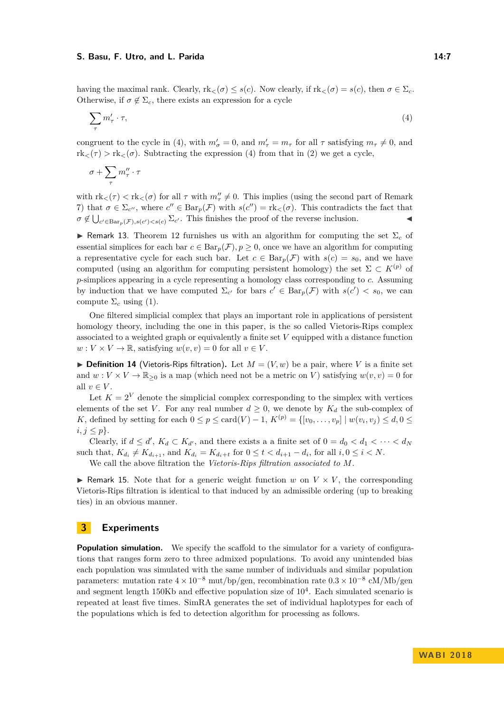#### **S. Basu, F. Utro, and L. Parida 14:7**

having the maximal rank. Clearly,  $rk_{\leq}(\sigma) \leq s(c)$ . Now clearly, if  $rk_{\leq}(\sigma) = s(c)$ , then  $\sigma \in \Sigma_c$ . Otherwise, if  $\sigma \notin \Sigma_c$ , there exists an expression for a cycle

<span id="page-6-1"></span>
$$
\sum_{\tau} m'_{\tau} \cdot \tau,\tag{4}
$$

congruent to the cycle in [\(4\)](#page-6-1), with  $m'_{\sigma} = 0$ , and  $m'_{\tau} = m_{\tau}$  for all  $\tau$  satisfying  $m_{\tau} \neq 0$ , and  $rk<sub>lt</sub>(\tau) > rk<sub>lt</sub>(\sigma)$ . Subtracting the expression [\(4\)](#page-6-1) from that in [\(2\)](#page-5-0) we get a cycle,

$$
\sigma + \sum_{\tau} m_{\tau}'' \cdot \tau
$$

with  $rk<(\tau) < rk<(\sigma)$  for all  $\tau$  with  $m''_{\tau} \neq 0$ . This implies (using the second part of Remark [7\)](#page-4-3) that  $\sigma \in \Sigma_{c''}$ , where  $c'' \in \text{Bar}_p(\mathcal{F})$  with  $s(c'') = \text{rk}_{\leq}(\sigma)$ . This contradicts the fact that  $\sigma \notin \bigcup_{c' \in \text{Bar}_p(\mathcal{F}), s(c') < s(c)} \Sigma_{c'}$ . This finishes the proof of the reverse inclusion.

<span id="page-6-3"></span>**I** Remark 13. Theorem [12](#page-5-1) furnishes us with an algorithm for computing the set  $\Sigma_c$  of essential simplices for each bar  $c \in \text{Bar}_p(\mathcal{F})$ ,  $p \geq 0$ , once we have an algorithm for computing a representative cycle for each such bar. Let  $c \in Bar_p(\mathcal{F})$  with  $s(c) = s_0$ , and we have computed (using an algorithm for computing persistent homology) the set  $\Sigma \subset K^{(p)}$  of *p*-simplices appearing in a cycle representing a homology class corresponding to *c*. Assuming by induction that we have computed  $\Sigma_{c'}$  for bars  $c' \in \text{Bar}_p(\mathcal{F})$  with  $s(c') < s_0$ , we can compute  $\Sigma_c$  using [\(1\)](#page-5-2).

One filtered simplicial complex that plays an important role in applications of persistent homology theory, including the one in this paper, is the so called Vietoris-Rips complex associated to a weighted graph or equivalently a finite set *V* equipped with a distance function  $w: V \times V \to \mathbb{R}$ , satisfying  $w(v, v) = 0$  for all  $v \in V$ .

<span id="page-6-2"></span>**Definition 14** (Vietoris-Rips filtration). Let  $M = (V, w)$  be a pair, where V is a finite set and  $w: V \times V \to \mathbb{R}_{\geq 0}$  is a map (which need not be a metric on *V*) satisfying  $w(v, v) = 0$  for all  $v \in V$ .

Let  $K = 2^V$  denote the simplicial complex corresponding to the simplex with vertices elements of the set *V*. For any real number  $d \geq 0$ , we denote by  $K_d$  the sub-complex of *K*, defined by setting for each  $0 \le p \le \text{card}(V) - 1$ ,  $K^{(p)} = \{ [v_0, \ldots, v_p] \mid w(v_i, v_j) \le d, 0 \le$  $i, j \leq p$ .

Clearly, if  $d \leq d'$ ,  $K_d \subset K_{d'}$ , and there exists a a finite set of  $0 = d_0 < d_1 < \cdots < d_N$ such that,  $K_{d_i} \neq K_{d_{i+1}}$ , and  $K_{d_i} = K_{d_i+t}$  for  $0 \leq t < d_{i+1} - d_i$ , for all  $i, 0 \leq i < N$ .

We call the above filtration the *Vietoris-Rips filtration associated to M*.

 $\triangleright$  Remark 15. Note that for a generic weight function *w* on  $V \times V$ , the corresponding Vietoris-Rips filtration is identical to that induced by an admissible ordering (up to breaking ties) in an obvious manner.

# <span id="page-6-0"></span>**3 Experiments**

**Population simulation.** We specify the scaffold to the simulator for a variety of configurations that ranges form zero to three admixed populations. To avoid any unintended bias each population was simulated with the same number of individuals and similar population parameters: mutation rate  $4 \times 10^{-8}$  mut/bp/gen, recombination rate  $0.3 \times 10^{-8}$  cM/Mb/gen and segment length 150Kb and effective population size of  $10^4$ . Each simulated scenario is repeated at least five times. SimRA generates the set of individual haplotypes for each of the populations which is fed to detection algorithm for processing as follows.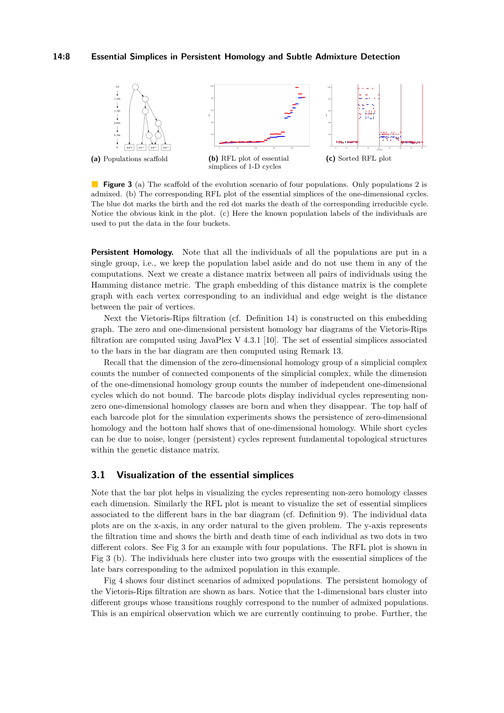#### **14:8 Essential Simplices in Persistent Homology and Subtle Admixture Detection**

<span id="page-7-1"></span>

**Figure 3** (a) The scaffold of the evolution scenario of four populations. Only populations 2 is admixed. (b) The corresponding RFL plot of the essential simplices of the one-dimensional cycles. The blue dot marks the birth and the red dot marks the death of the corresponding irreducible cycle. Notice the obvious kink in the plot. (c) Here the known population labels of the individuals are used to put the data in the four buckets.

**Persistent Homology.** Note that all the individuals of all the populations are put in a single group, i.e., we keep the population label aside and do not use them in any of the computations. Next we create a distance matrix between all pairs of individuals using the Hamming distance metric. The graph embedding of this distance matrix is the complete graph with each vertex corresponding to an individual and edge weight is the distance between the pair of vertices.

Next the Vietoris-Rips filtration (cf. Definition [14\)](#page-6-2) is constructed on this embedding graph. The zero and one-dimensional persistent homology bar diagrams of the Vietoris-Rips filtration are computed using JavaPlex V  $4.3.1$  [\[10\]](#page-9-11). The set of essential simplices associated to the bars in the bar diagram are then computed using Remark [13.](#page-6-3)

Recall that the dimension of the zero-dimensional homology group of a simplicial complex counts the number of connected components of the simplicial complex, while the dimension of the one-dimensional homology group counts the number of independent one-dimensional cycles which do not bound. The barcode plots display individual cycles representing nonzero one-dimensional homology classes are born and when they disappear. The top half of each barcode plot for the simulation experiments shows the persistence of zero-dimensional homology and the bottom half shows that of one-dimensional homology. While short cycles can be due to noise, longer (persistent) cycles represent fundamental topological structures within the genetic distance matrix.

### <span id="page-7-0"></span>**3.1 Visualization of the essential simplices**

Note that the bar plot helps in visualizing the cycles representing non-zero homology classes each dimension. Similarly the RFL plot is meant to visualize the set of essential simplices associated to the different bars in the bar diagram (cf. Definition [9\)](#page-4-0). The individual data plots are on the x-axis, in any order natural to the given problem. The y-axis represents the filtration time and shows the birth and death time of each individual as two dots in two different colors. See Fig [3](#page-7-1) for an example with four populations. The RFL plot is shown in Fig [3](#page-7-1) (b). The individuals here cluster into two groups with the esssential simplices of the late bars corresponding to the admixed population in this example.

Fig [4](#page-8-0) shows four distinct scenarios of admixed populations. The persistent homology of the Vietoris-Rips filtration are shown as bars. Notice that the 1-dimensional bars cluster into different groups whose transitions roughly correspond to the number of admixed populations. This is an empirical observation which we are currently continuing to probe. Further, the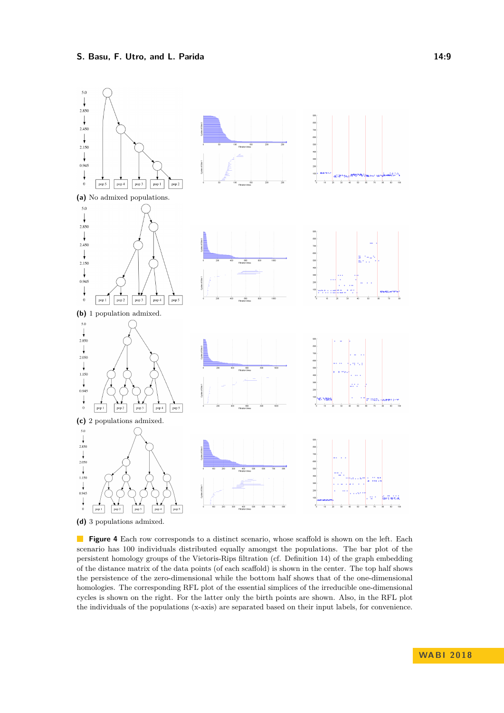<span id="page-8-0"></span>

**(d)** 3 populations admixed.

**Figure 4** Each row corresponds to a distinct scenario, whose scaffold is shown on the left. Each scenario has 100 individuals distributed equally amongst the populations. The bar plot of the persistent homology groups of the Vietoris-Rips filtration (cf. Definition [14\)](#page-6-2) of the graph embedding of the distance matrix of the data points (of each scaffold) is shown in the center. The top half shows the persistence of the zero-dimensional while the bottom half shows that of the one-dimensional homologies. The corresponding RFL plot of the essential simplices of the irreducible one-dimensional cycles is shown on the right. For the latter only the birth points are shown. Also, in the RFL plot the individuals of the populations (x-axis) are separated based on their input labels, for convenience.